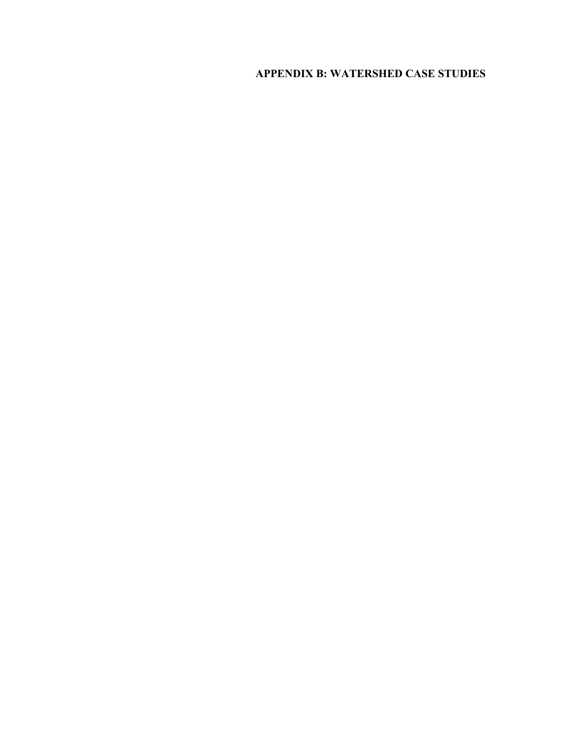## **APPENDIX B: WATERSHED CASE STUDIES**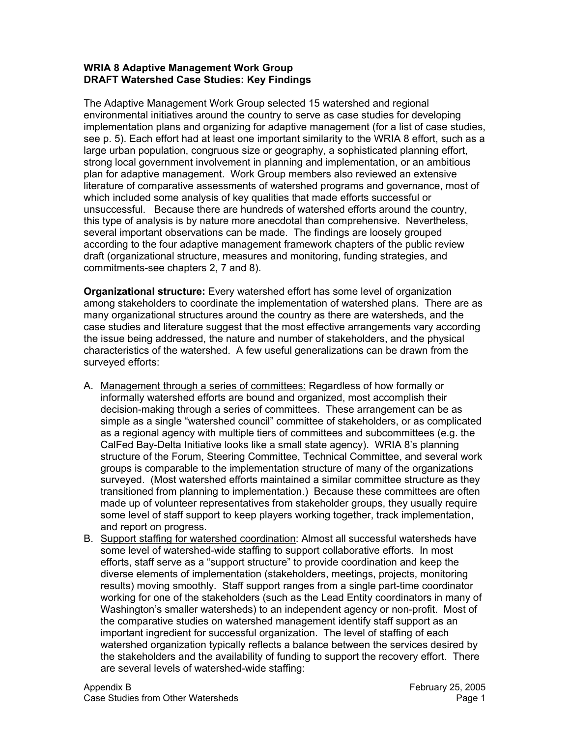## **WRIA 8 Adaptive Management Work Group DRAFT Watershed Case Studies: Key Findings**

The Adaptive Management Work Group selected 15 watershed and regional environmental initiatives around the country to serve as case studies for developing implementation plans and organizing for adaptive management (for a list of case studies, see p. 5). Each effort had at least one important similarity to the WRIA 8 effort, such as a large urban population, congruous size or geography, a sophisticated planning effort, strong local government involvement in planning and implementation, or an ambitious plan for adaptive management. Work Group members also reviewed an extensive literature of comparative assessments of watershed programs and governance, most of which included some analysis of key qualities that made efforts successful or unsuccessful. Because there are hundreds of watershed efforts around the country, this type of analysis is by nature more anecdotal than comprehensive. Nevertheless, several important observations can be made. The findings are loosely grouped according to the four adaptive management framework chapters of the public review draft (organizational structure, measures and monitoring, funding strategies, and commitments-see chapters 2, 7 and 8).

**Organizational structure:** Every watershed effort has some level of organization among stakeholders to coordinate the implementation of watershed plans. There are as many organizational structures around the country as there are watersheds, and the case studies and literature suggest that the most effective arrangements vary according the issue being addressed, the nature and number of stakeholders, and the physical characteristics of the watershed. A few useful generalizations can be drawn from the surveyed efforts:

- A. Management through a series of committees: Regardless of how formally or informally watershed efforts are bound and organized, most accomplish their decision-making through a series of committees. These arrangement can be as simple as a single "watershed council" committee of stakeholders, or as complicated as a regional agency with multiple tiers of committees and subcommittees (e.g. the CalFed Bay-Delta Initiative looks like a small state agency). WRIA 8's planning structure of the Forum, Steering Committee, Technical Committee, and several work groups is comparable to the implementation structure of many of the organizations surveyed. (Most watershed efforts maintained a similar committee structure as they transitioned from planning to implementation.) Because these committees are often made up of volunteer representatives from stakeholder groups, they usually require some level of staff support to keep players working together, track implementation, and report on progress.
- B. Support staffing for watershed coordination: Almost all successful watersheds have some level of watershed-wide staffing to support collaborative efforts. In most efforts, staff serve as a "support structure" to provide coordination and keep the diverse elements of implementation (stakeholders, meetings, projects, monitoring results) moving smoothly. Staff support ranges from a single part-time coordinator working for one of the stakeholders (such as the Lead Entity coordinators in many of Washington's smaller watersheds) to an independent agency or non-profit. Most of the comparative studies on watershed management identify staff support as an important ingredient for successful organization. The level of staffing of each watershed organization typically reflects a balance between the services desired by the stakeholders and the availability of funding to support the recovery effort. There are several levels of watershed-wide staffing: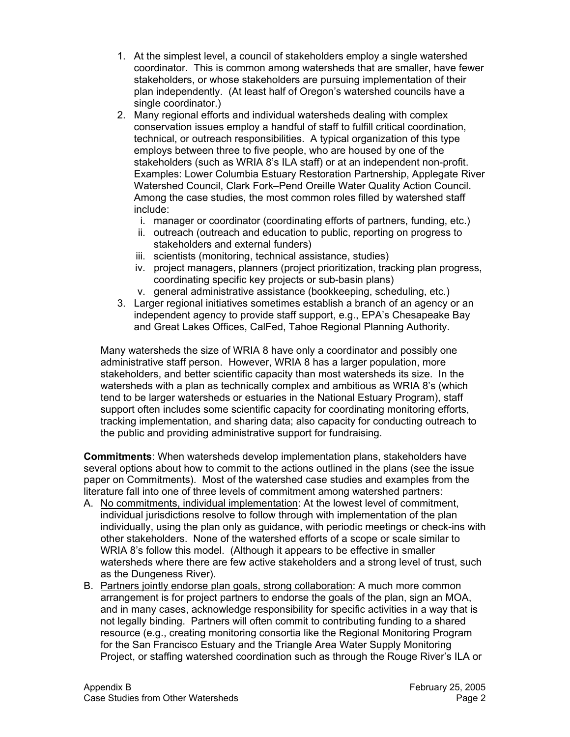- 1. At the simplest level, a council of stakeholders employ a single watershed coordinator. This is common among watersheds that are smaller, have fewer stakeholders, or whose stakeholders are pursuing implementation of their plan independently. (At least half of Oregon's watershed councils have a single coordinator.)
- 2. Many regional efforts and individual watersheds dealing with complex conservation issues employ a handful of staff to fulfill critical coordination, technical, or outreach responsibilities. A typical organization of this type employs between three to five people, who are housed by one of the stakeholders (such as WRIA 8's ILA staff) or at an independent non-profit. Examples: Lower Columbia Estuary Restoration Partnership, Applegate River Watershed Council, Clark Fork–Pend Oreille Water Quality Action Council. Among the case studies, the most common roles filled by watershed staff include:
	- i. manager or coordinator (coordinating efforts of partners, funding, etc.)
	- ii. outreach (outreach and education to public, reporting on progress to stakeholders and external funders)
	- iii. scientists (monitoring, technical assistance, studies)
	- iv. project managers, planners (project prioritization, tracking plan progress, coordinating specific key projects or sub-basin plans)
	- v. general administrative assistance (bookkeeping, scheduling, etc.)
- 3. Larger regional initiatives sometimes establish a branch of an agency or an independent agency to provide staff support, e.g., EPA's Chesapeake Bay and Great Lakes Offices, CalFed, Tahoe Regional Planning Authority.

Many watersheds the size of WRIA 8 have only a coordinator and possibly one administrative staff person. However, WRIA 8 has a larger population, more stakeholders, and better scientific capacity than most watersheds its size. In the watersheds with a plan as technically complex and ambitious as WRIA 8's (which tend to be larger watersheds or estuaries in the National Estuary Program), staff support often includes some scientific capacity for coordinating monitoring efforts, tracking implementation, and sharing data; also capacity for conducting outreach to the public and providing administrative support for fundraising.

**Commitments**: When watersheds develop implementation plans, stakeholders have several options about how to commit to the actions outlined in the plans (see the issue paper on Commitments). Most of the watershed case studies and examples from the literature fall into one of three levels of commitment among watershed partners:

- A. No commitments, individual implementation: At the lowest level of commitment, individual jurisdictions resolve to follow through with implementation of the plan individually, using the plan only as guidance, with periodic meetings or check-ins with other stakeholders. None of the watershed efforts of a scope or scale similar to WRIA 8's follow this model. (Although it appears to be effective in smaller watersheds where there are few active stakeholders and a strong level of trust, such as the Dungeness River).
- B. Partners jointly endorse plan goals, strong collaboration: A much more common arrangement is for project partners to endorse the goals of the plan, sign an MOA, and in many cases, acknowledge responsibility for specific activities in a way that is not legally binding. Partners will often commit to contributing funding to a shared resource (e.g., creating monitoring consortia like the Regional Monitoring Program for the San Francisco Estuary and the Triangle Area Water Supply Monitoring Project, or staffing watershed coordination such as through the Rouge River's ILA or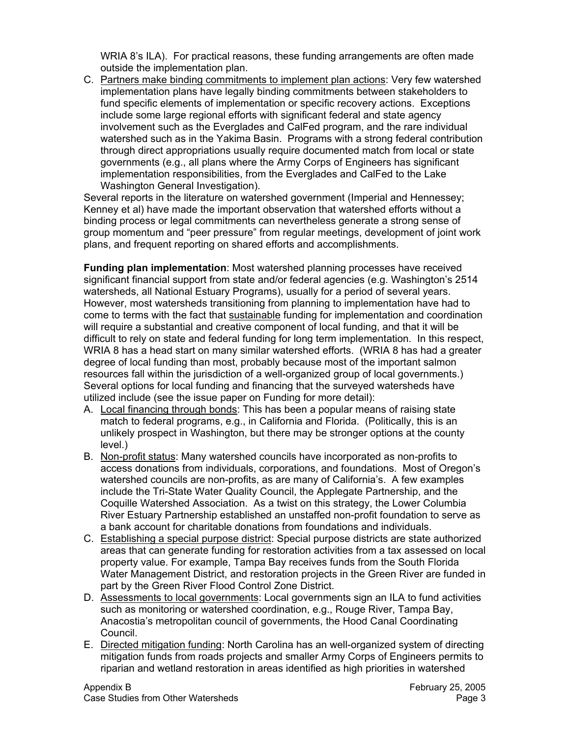WRIA 8's ILA). For practical reasons, these funding arrangements are often made outside the implementation plan.

C. Partners make binding commitments to implement plan actions: Very few watershed implementation plans have legally binding commitments between stakeholders to fund specific elements of implementation or specific recovery actions. Exceptions include some large regional efforts with significant federal and state agency involvement such as the Everglades and CalFed program, and the rare individual watershed such as in the Yakima Basin. Programs with a strong federal contribution through direct appropriations usually require documented match from local or state governments (e.g., all plans where the Army Corps of Engineers has significant implementation responsibilities, from the Everglades and CalFed to the Lake Washington General Investigation).

Several reports in the literature on watershed government (Imperial and Hennessey; Kenney et al) have made the important observation that watershed efforts without a binding process or legal commitments can nevertheless generate a strong sense of group momentum and "peer pressure" from regular meetings, development of joint work plans, and frequent reporting on shared efforts and accomplishments.

**Funding plan implementation**: Most watershed planning processes have received significant financial support from state and/or federal agencies (e.g. Washington's 2514 watersheds, all National Estuary Programs), usually for a period of several years. However, most watersheds transitioning from planning to implementation have had to come to terms with the fact that sustainable funding for implementation and coordination will require a substantial and creative component of local funding, and that it will be difficult to rely on state and federal funding for long term implementation. In this respect, WRIA 8 has a head start on many similar watershed efforts. (WRIA 8 has had a greater degree of local funding than most, probably because most of the important salmon resources fall within the jurisdiction of a well-organized group of local governments.) Several options for local funding and financing that the surveyed watersheds have utilized include (see the issue paper on Funding for more detail):

- A. Local financing through bonds: This has been a popular means of raising state match to federal programs, e.g., in California and Florida. (Politically, this is an unlikely prospect in Washington, but there may be stronger options at the county level.)
- B. Non-profit status: Many watershed councils have incorporated as non-profits to access donations from individuals, corporations, and foundations. Most of Oregon's watershed councils are non-profits, as are many of California's. A few examples include the Tri-State Water Quality Council, the Applegate Partnership, and the Coquille Watershed Association. As a twist on this strategy, the Lower Columbia River Estuary Partnership established an unstaffed non-profit foundation to serve as a bank account for charitable donations from foundations and individuals.
- C. Establishing a special purpose district: Special purpose districts are state authorized areas that can generate funding for restoration activities from a tax assessed on local property value. For example, Tampa Bay receives funds from the South Florida Water Management District, and restoration projects in the Green River are funded in part by the Green River Flood Control Zone District.
- D. Assessments to local governments: Local governments sign an ILA to fund activities such as monitoring or watershed coordination, e.g., Rouge River, Tampa Bay, Anacostia's metropolitan council of governments, the Hood Canal Coordinating Council.
- E. Directed mitigation funding: North Carolina has an well-organized system of directing mitigation funds from roads projects and smaller Army Corps of Engineers permits to riparian and wetland restoration in areas identified as high priorities in watershed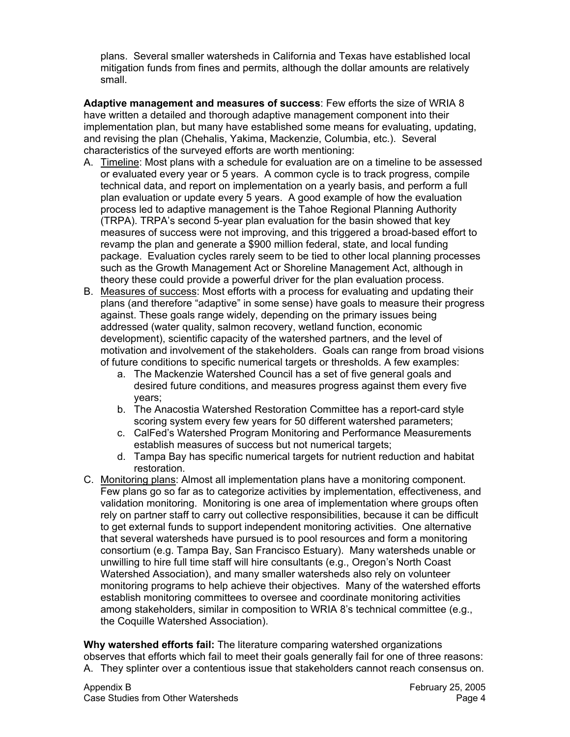plans. Several smaller watersheds in California and Texas have established local mitigation funds from fines and permits, although the dollar amounts are relatively small.

**Adaptive management and measures of success**: Few efforts the size of WRIA 8 have written a detailed and thorough adaptive management component into their implementation plan, but many have established some means for evaluating, updating, and revising the plan (Chehalis, Yakima, Mackenzie, Columbia, etc.). Several characteristics of the surveyed efforts are worth mentioning:

- A. Timeline: Most plans with a schedule for evaluation are on a timeline to be assessed or evaluated every year or 5 years. A common cycle is to track progress, compile technical data, and report on implementation on a yearly basis, and perform a full plan evaluation or update every 5 years. A good example of how the evaluation process led to adaptive management is the Tahoe Regional Planning Authority (TRPA). TRPA's second 5-year plan evaluation for the basin showed that key measures of success were not improving, and this triggered a broad-based effort to revamp the plan and generate a \$900 million federal, state, and local funding package. Evaluation cycles rarely seem to be tied to other local planning processes such as the Growth Management Act or Shoreline Management Act, although in theory these could provide a powerful driver for the plan evaluation process.
- B. Measures of success: Most efforts with a process for evaluating and updating their plans (and therefore "adaptive" in some sense) have goals to measure their progress against. These goals range widely, depending on the primary issues being addressed (water quality, salmon recovery, wetland function, economic development), scientific capacity of the watershed partners, and the level of motivation and involvement of the stakeholders. Goals can range from broad visions of future conditions to specific numerical targets or thresholds. A few examples:
	- a. The Mackenzie Watershed Council has a set of five general goals and desired future conditions, and measures progress against them every five years;
	- b. The Anacostia Watershed Restoration Committee has a report-card style scoring system every few years for 50 different watershed parameters;
	- c. CalFed's Watershed Program Monitoring and Performance Measurements establish measures of success but not numerical targets;
	- d. Tampa Bay has specific numerical targets for nutrient reduction and habitat restoration.
- C. Monitoring plans: Almost all implementation plans have a monitoring component. Few plans go so far as to categorize activities by implementation, effectiveness, and validation monitoring. Monitoring is one area of implementation where groups often rely on partner staff to carry out collective responsibilities, because it can be difficult to get external funds to support independent monitoring activities. One alternative that several watersheds have pursued is to pool resources and form a monitoring consortium (e.g. Tampa Bay, San Francisco Estuary). Many watersheds unable or unwilling to hire full time staff will hire consultants (e.g., Oregon's North Coast Watershed Association), and many smaller watersheds also rely on volunteer monitoring programs to help achieve their objectives. Many of the watershed efforts establish monitoring committees to oversee and coordinate monitoring activities among stakeholders, similar in composition to WRIA 8's technical committee (e.g., the Coquille Watershed Association).

**Why watershed efforts fail:** The literature comparing watershed organizations observes that efforts which fail to meet their goals generally fail for one of three reasons: A. They splinter over a contentious issue that stakeholders cannot reach consensus on.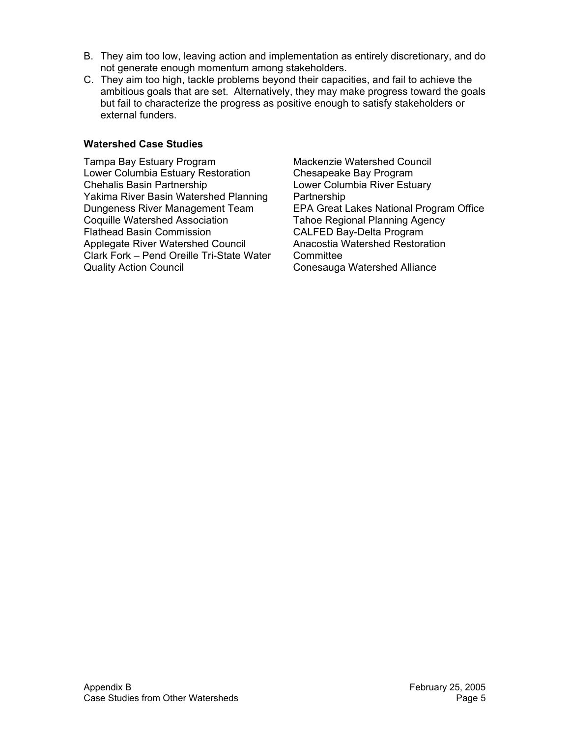- B. They aim too low, leaving action and implementation as entirely discretionary, and do not generate enough momentum among stakeholders.
- C. They aim too high, tackle problems beyond their capacities, and fail to achieve the ambitious goals that are set. Alternatively, they may make progress toward the goals but fail to characterize the progress as positive enough to satisfy stakeholders or external funders.

## **Watershed Case Studies**

Tampa Bay Estuary Program Lower Columbia Estuary Restoration Chehalis Basin Partnership Yakima River Basin Watershed Planning Dungeness River Management Team Coquille Watershed Association Flathead Basin Commission Applegate River Watershed Council Clark Fork – Pend Oreille Tri-State Water Quality Action Council

Mackenzie Watershed Council Chesapeake Bay Program Lower Columbia River Estuary Partnership EPA Great Lakes National Program Office Tahoe Regional Planning Agency CALFED Bay-Delta Program Anacostia Watershed Restoration **Committee** Conesauga Watershed Alliance